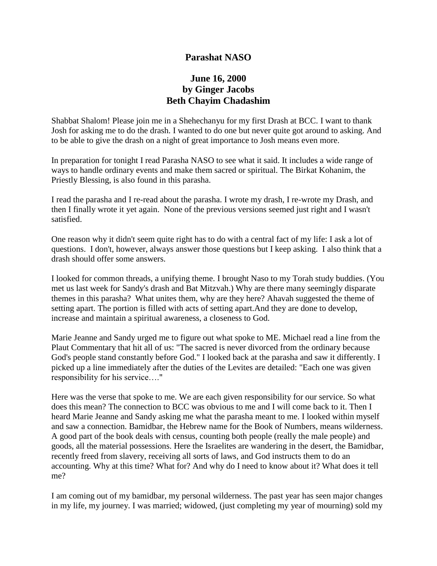## **Parashat NASO**

# **June 16, 2000 by Ginger Jacobs Beth Chayim Chadashim**

Shabbat Shalom! Please join me in a Shehechanyu for my first Drash at BCC. I want to thank Josh for asking me to do the drash. I wanted to do one but never quite got around to asking. And to be able to give the drash on a night of great importance to Josh means even more.

In preparation for tonight I read Parasha NASO to see what it said. It includes a wide range of ways to handle ordinary events and make them sacred or spiritual. The Birkat Kohanim, the Priestly Blessing, is also found in this parasha.

I read the parasha and I re-read about the parasha. I wrote my drash, I re-wrote my Drash, and then I finally wrote it yet again. None of the previous versions seemed just right and I wasn't satisfied.

One reason why it didn't seem quite right has to do with a central fact of my life: I ask a lot of questions. I don't, however, always answer those questions but I keep asking. I also think that a drash should offer some answers.

I looked for common threads, a unifying theme. I brought Naso to my Torah study buddies. (You met us last week for Sandy's drash and Bat Mitzvah.) Why are there many seemingly disparate themes in this parasha? What unites them, why are they here? Ahavah suggested the theme of setting apart. The portion is filled with acts of setting apart.And they are done to develop, increase and maintain a spiritual awareness, a closeness to God.

Marie Jeanne and Sandy urged me to figure out what spoke to ME. Michael read a line from the Plaut Commentary that hit all of us: "The sacred is never divorced from the ordinary because God's people stand constantly before God." I looked back at the parasha and saw it differently. I picked up a line immediately after the duties of the Levites are detailed: "Each one was given responsibility for his service…."

Here was the verse that spoke to me. We are each given responsibility for our service. So what does this mean? The connection to BCC was obvious to me and I will come back to it. Then I heard Marie Jeanne and Sandy asking me what the parasha meant to me. I looked within myself and saw a connection. Bamidbar, the Hebrew name for the Book of Numbers, means wilderness. A good part of the book deals with census, counting both people (really the male people) and goods, all the material possessions. Here the Israelites are wandering in the desert, the Bamidbar, recently freed from slavery, receiving all sorts of laws, and God instructs them to do an accounting. Why at this time? What for? And why do I need to know about it? What does it tell me?

I am coming out of my bamidbar, my personal wilderness. The past year has seen major changes in my life, my journey. I was married; widowed, (just completing my year of mourning) sold my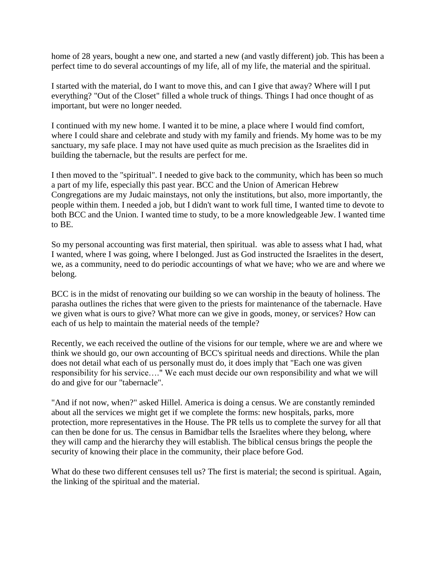home of 28 years, bought a new one, and started a new (and vastly different) job. This has been a perfect time to do several accountings of my life, all of my life, the material and the spiritual.

I started with the material, do I want to move this, and can I give that away? Where will I put everything? "Out of the Closet" filled a whole truck of things. Things I had once thought of as important, but were no longer needed.

I continued with my new home. I wanted it to be mine, a place where I would find comfort, where I could share and celebrate and study with my family and friends. My home was to be my sanctuary, my safe place. I may not have used quite as much precision as the Israelites did in building the tabernacle, but the results are perfect for me.

I then moved to the "spiritual". I needed to give back to the community, which has been so much a part of my life, especially this past year. BCC and the Union of American Hebrew Congregations are my Judaic mainstays, not only the institutions, but also, more importantly, the people within them. I needed a job, but I didn't want to work full time, I wanted time to devote to both BCC and the Union. I wanted time to study, to be a more knowledgeable Jew. I wanted time to BE.

So my personal accounting was first material, then spiritual. was able to assess what I had, what I wanted, where I was going, where I belonged. Just as God instructed the Israelites in the desert, we, as a community, need to do periodic accountings of what we have; who we are and where we belong.

BCC is in the midst of renovating our building so we can worship in the beauty of holiness. The parasha outlines the riches that were given to the priests for maintenance of the tabernacle. Have we given what is ours to give? What more can we give in goods, money, or services? How can each of us help to maintain the material needs of the temple?

Recently, we each received the outline of the visions for our temple, where we are and where we think we should go, our own accounting of BCC's spiritual needs and directions. While the plan does not detail what each of us personally must do, it does imply that "Each one was given responsibility for his service…." We each must decide our own responsibility and what we will do and give for our "tabernacle".

"And if not now, when?" asked Hillel. America is doing a census. We are constantly reminded about all the services we might get if we complete the forms: new hospitals, parks, more protection, more representatives in the House. The PR tells us to complete the survey for all that can then be done for us. The census in Bamidbar tells the Israelites where they belong, where they will camp and the hierarchy they will establish. The biblical census brings the people the security of knowing their place in the community, their place before God.

What do these two different censuses tell us? The first is material; the second is spiritual. Again, the linking of the spiritual and the material.